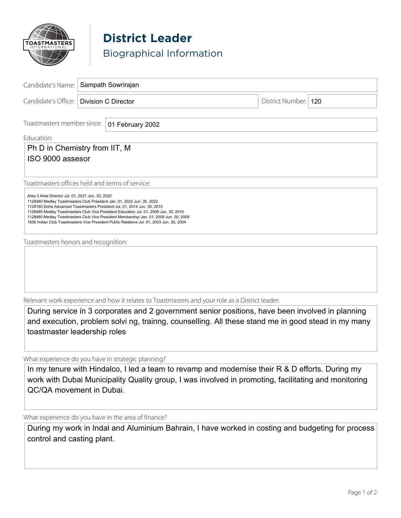

**District Leader** Biographical Information

| Candidate's Name:                                                                                                                                                                                                                                                                                                                                                                                                                                                                      | Sampath Sowrirajan         |  |                        |                                                                                                                                                                                                         |
|----------------------------------------------------------------------------------------------------------------------------------------------------------------------------------------------------------------------------------------------------------------------------------------------------------------------------------------------------------------------------------------------------------------------------------------------------------------------------------------|----------------------------|--|------------------------|---------------------------------------------------------------------------------------------------------------------------------------------------------------------------------------------------------|
| Candidate's Office:                                                                                                                                                                                                                                                                                                                                                                                                                                                                    | <b>Division C Director</b> |  | District Number:   120 |                                                                                                                                                                                                         |
|                                                                                                                                                                                                                                                                                                                                                                                                                                                                                        |                            |  |                        |                                                                                                                                                                                                         |
| Toastmasters member since:                                                                                                                                                                                                                                                                                                                                                                                                                                                             | 01 February 2002           |  |                        |                                                                                                                                                                                                         |
| Education:                                                                                                                                                                                                                                                                                                                                                                                                                                                                             |                            |  |                        |                                                                                                                                                                                                         |
| Ph D in Chemistry from IIT, M<br>ISO 9000 assesor                                                                                                                                                                                                                                                                                                                                                                                                                                      |                            |  |                        |                                                                                                                                                                                                         |
| Toastmasters offices held and terms of service:                                                                                                                                                                                                                                                                                                                                                                                                                                        |                            |  |                        |                                                                                                                                                                                                         |
| Area 3 Area Director Jul. 01, 2021 Jun. 30, 2022<br>1128480 Medley Toastmasters Club President Jan. 01, 2022 Jun. 30, 2022<br>1128180 Doha Advanced Toastmasters President Jul. 01, 2014 Jun. 30, 2015<br>1128480 Medley Toastmasters Club Vice President Education Jul. 01, 2009 Jun. 30, 2010<br>1128480 Medley Toastmasters Club Vice President Membership Jan. 01, 2009 Jun. 30, 2009<br>1836 Indian Club Toastmasters Vice President Public Relations Jul. 01, 2003 Jun. 30, 2004 |                            |  |                        |                                                                                                                                                                                                         |
| Toastmasters honors and recognition:                                                                                                                                                                                                                                                                                                                                                                                                                                                   |                            |  |                        |                                                                                                                                                                                                         |
|                                                                                                                                                                                                                                                                                                                                                                                                                                                                                        |                            |  |                        |                                                                                                                                                                                                         |
| Relevant work experience and how it relates to Toastmasters and your role as a District leader:                                                                                                                                                                                                                                                                                                                                                                                        |                            |  |                        |                                                                                                                                                                                                         |
| toastmaster leadership roles                                                                                                                                                                                                                                                                                                                                                                                                                                                           |                            |  |                        | During service in 3 corporates and 2 government senior positions, have been involved in planning<br>and execution, problem solvi ng, trainng, counselling. All these stand me in good stead in my many  |
| What experience do you have in strategic planning?                                                                                                                                                                                                                                                                                                                                                                                                                                     |                            |  |                        |                                                                                                                                                                                                         |
| QC/QA movement in Dubai.                                                                                                                                                                                                                                                                                                                                                                                                                                                               |                            |  |                        | In my tenure with Hindalco, I led a team to revamp and modernise their R & D efforts. During my<br>work with Dubai Municipality Quality group, I was involved in promoting, facilitating and monitoring |
| What experience do you have in the area of finance?                                                                                                                                                                                                                                                                                                                                                                                                                                    |                            |  |                        |                                                                                                                                                                                                         |
|                                                                                                                                                                                                                                                                                                                                                                                                                                                                                        |                            |  |                        |                                                                                                                                                                                                         |

During my work in Indal and Aluminium Bahrain, I have worked in costing and budgeting for process control and casting plant.